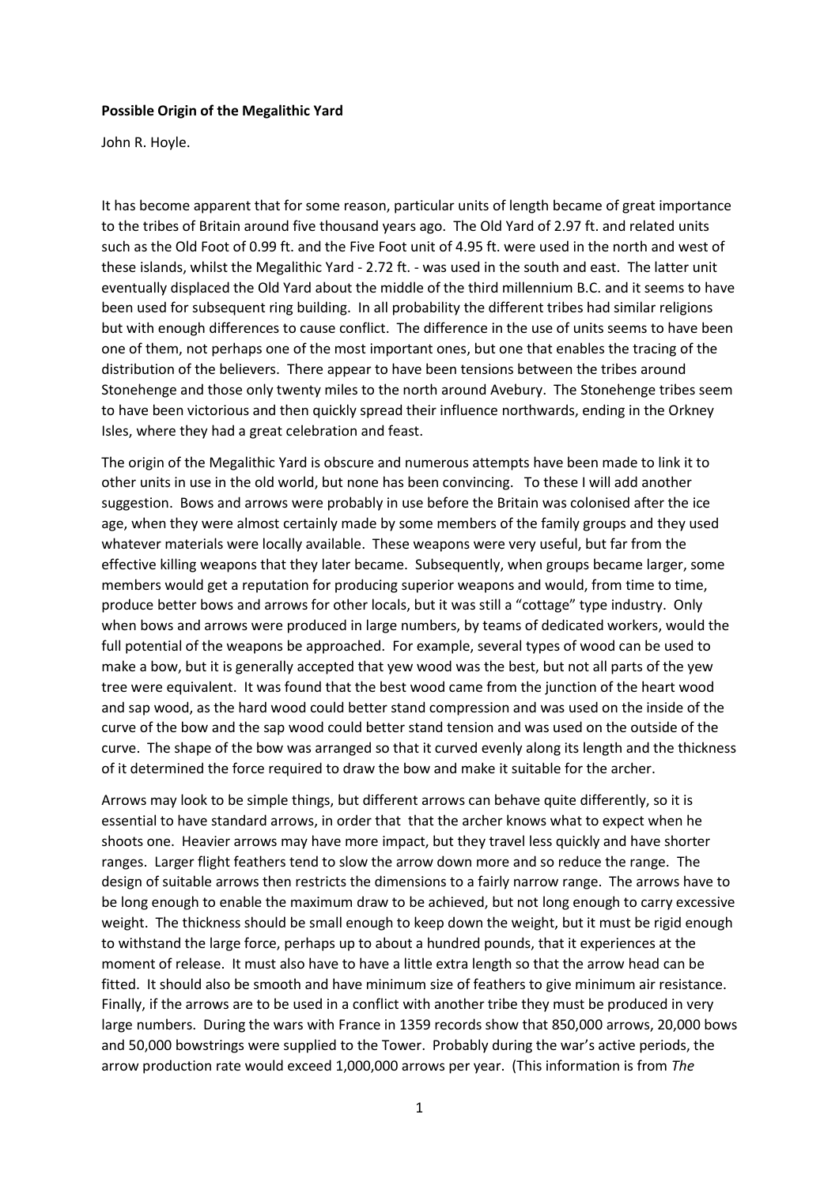## **Possible Origin of the Megalithic Yard**

John R. Hoyle.

It has become apparent that for some reason, particular units of length became of great importance to the tribes of Britain around five thousand years ago. The Old Yard of 2.97 ft. and related units such as the Old Foot of 0.99 ft. and the Five Foot unit of 4.95 ft. were used in the north and west of these islands, whilst the Megalithic Yard - 2.72 ft. - was used in the south and east. The latter unit eventually displaced the Old Yard about the middle of the third millennium B.C. and it seems to have been used for subsequent ring building. In all probability the different tribes had similar religions but with enough differences to cause conflict. The difference in the use of units seems to have been one of them, not perhaps one of the most important ones, but one that enables the tracing of the distribution of the believers. There appear to have been tensions between the tribes around Stonehenge and those only twenty miles to the north around Avebury. The Stonehenge tribes seem to have been victorious and then quickly spread their influence northwards, ending in the Orkney Isles, where they had a great celebration and feast.

The origin of the Megalithic Yard is obscure and numerous attempts have been made to link it to other units in use in the old world, but none has been convincing. To these I will add another suggestion. Bows and arrows were probably in use before the Britain was colonised after the ice age, when they were almost certainly made by some members of the family groups and they used whatever materials were locally available. These weapons were very useful, but far from the effective killing weapons that they later became. Subsequently, when groups became larger, some members would get a reputation for producing superior weapons and would, from time to time, produce better bows and arrows for other locals, but it was still a "cottage" type industry. Only when bows and arrows were produced in large numbers, by teams of dedicated workers, would the full potential of the weapons be approached. For example, several types of wood can be used to make a bow, but it is generally accepted that yew wood was the best, but not all parts of the yew tree were equivalent. It was found that the best wood came from the junction of the heart wood and sap wood, as the hard wood could better stand compression and was used on the inside of the curve of the bow and the sap wood could better stand tension and was used on the outside of the curve. The shape of the bow was arranged so that it curved evenly along its length and the thickness of it determined the force required to draw the bow and make it suitable for the archer.

Arrows may look to be simple things, but different arrows can behave quite differently, so it is essential to have standard arrows, in order that that the archer knows what to expect when he shoots one. Heavier arrows may have more impact, but they travel less quickly and have shorter ranges. Larger flight feathers tend to slow the arrow down more and so reduce the range. The design of suitable arrows then restricts the dimensions to a fairly narrow range. The arrows have to be long enough to enable the maximum draw to be achieved, but not long enough to carry excessive weight. The thickness should be small enough to keep down the weight, but it must be rigid enough to withstand the large force, perhaps up to about a hundred pounds, that it experiences at the moment of release. It must also have to have a little extra length so that the arrow head can be fitted. It should also be smooth and have minimum size of feathers to give minimum air resistance. Finally, if the arrows are to be used in a conflict with another tribe they must be produced in very large numbers. During the wars with France in 1359 records show that 850,000 arrows, 20,000 bows and 50,000 bowstrings were supplied to the Tower. Probably during the war's active periods, the arrow production rate would exceed 1,000,000 arrows per year. (This information is from *The*